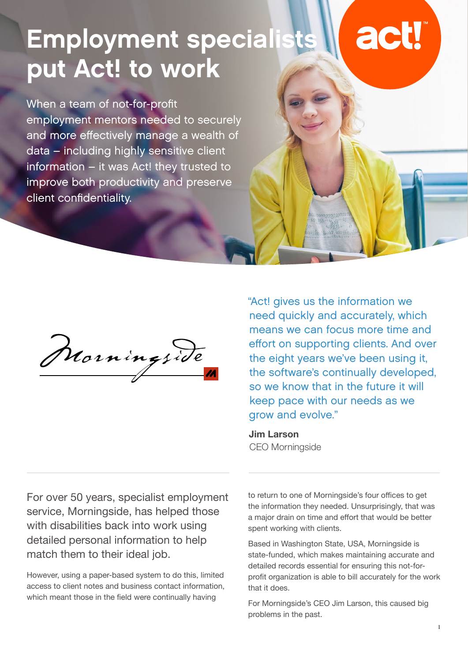## **Employment specialist** actl put Act! to work

When a team of not-for-profit employment mentors needed to securely and more effectively manage a wealth of data – including highly sensitive client information – it was Act! they trusted to improve both productivity and preserve client confidentiality.

Morningside

"Act! gives us the information we need quickly and accurately, which means we can focus more time and effort on supporting clients. And over the eight years we've been using it, the software's continually developed, so we know that in the future it will keep pace with our needs as we grow and evolve."

**Jim Larson** CEO Morningside

For over 50 years, specialist employment service, Morningside, has helped those with disabilities back into work using detailed personal information to help match them to their ideal job.

However, using a paper-based system to do this, limited access to client notes and business contact information, which meant those in the field were continually having

to return to one of Morningside's four offices to get the information they needed. Unsurprisingly, that was a major drain on time and effort that would be better spent working with clients.

Based in Washington State, USA, Morningside is state-funded, which makes maintaining accurate and detailed records essential for ensuring this not-forprofit organization is able to bill accurately for the work that it does.

For Morningside's CEO Jim Larson, this caused big problems in the past.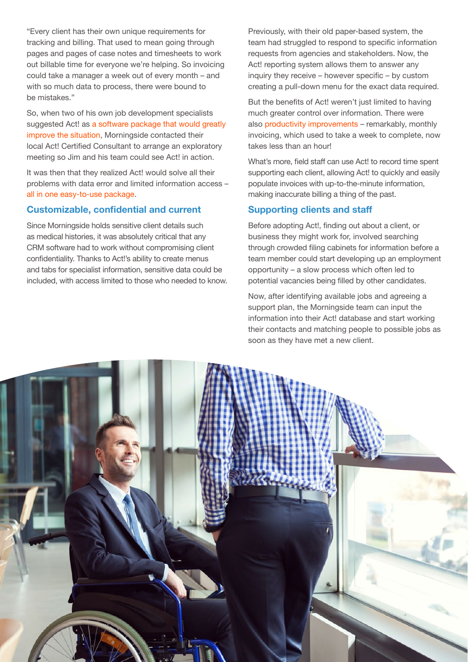"Every client has their own unique requirements for tracking and billing. That used to mean going through pages and pages of case notes and timesheets to work out billable time for everyone we're helping. So invoicing could take a manager a week out of every month – and with so much data to process, there were bound to be mistakes."

So, when two of his own job development specialists suggested Act! as a software package that would greatly improve the situation, Morningside contacted their local Act! Certified Consultant to arrange an exploratory meeting so Jim and his team could see Act! in action.

It was then that they realized Act! would solve all their problems with data error and limited information access – all in one easy-to-use package.

### **Customizable, confidential and current**

Since Morningside holds sensitive client details such as medical histories, it was absolutely critical that any CRM software had to work without compromising client confidentiality. Thanks to Act!'s ability to create menus and tabs for specialist information, sensitive data could be included, with access limited to those who needed to know. Previously, with their old paper-based system, the team had struggled to respond to specific information requests from agencies and stakeholders. Now, the Act! reporting system allows them to answer any inquiry they receive – however specific – by custom creating a pull-down menu for the exact data required.

But the benefits of Act! weren't just limited to having much greater control over information. There were also productivity improvements – remarkably, monthly invoicing, which used to take a week to complete, now takes less than an hour!

What's more, field staff can use Act! to record time spent supporting each client, allowing Act! to quickly and easily populate invoices with up-to-the-minute information, making inaccurate billing a thing of the past.

## **Supporting clients and staff**

Before adopting Act!, finding out about a client, or business they might work for, involved searching through crowded filing cabinets for information before a team member could start developing up an employment opportunity – a slow process which often led to potential vacancies being filled by other candidates.

Now, after identifying available jobs and agreeing a support plan, the Morningside team can input the information into their Act! database and start working their contacts and matching people to possible jobs as soon as they have met a new client.